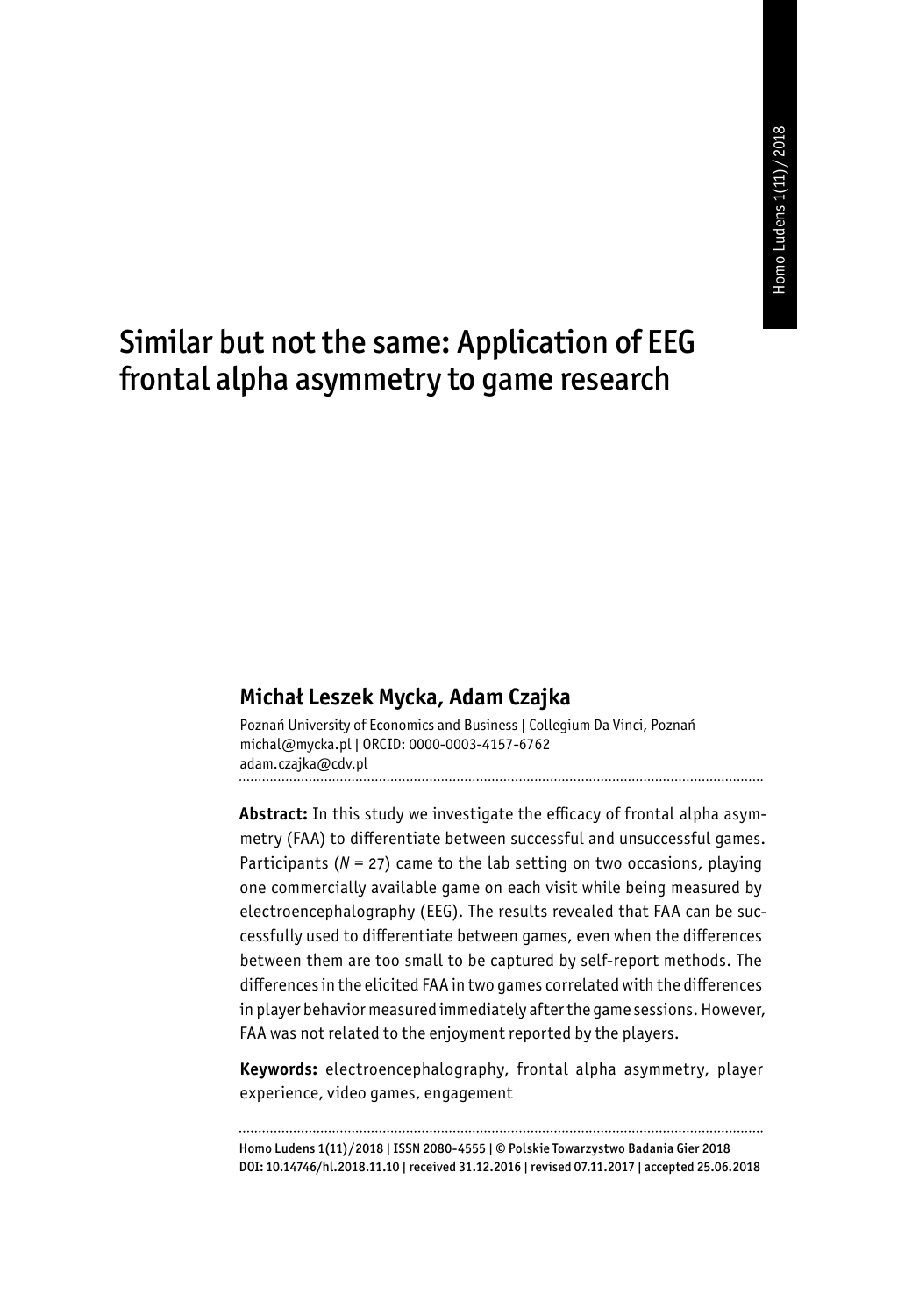# Similar but not the same: Application of EEG frontal alpha asymmetry to game research

#### **Michał Leszek Mycka, Adam Czajka**

Poznań University of Economics and Business | Collegium Da Vinci, Poznań michal@mycka.pl | ORCID: 0000-0003-4157-6762 adam.czajka@cdv.pl 

**Abstract:** In this study we investigate the efficacy of frontal alpha asymmetry (FAA) to differentiate between successful and unsuccessful games. Participants (*N* = 27) came to the lab setting on two occasions, playing one commercially available game on each visit while being measured by electroencephalography (EEG). The results revealed that FAA can be successfully used to differentiate between games, even when the differences between them are too small to be captured by self-report methods. The differences in the elicited FAA in two games correlated with the differences in player behavior measured immediately after the game sessions. However, FAA was not related to the enjoyment reported by the players.

**Keywords:** electroencephalography, frontal alpha asymmetry, player experience, video games, engagement

Homo Ludens 1(11)/2018 | ISSN 2080-4555 | © Polskie Towarzystwo Badania Gier 2018 DOI: 10.14746/hl.2018.11.10 | received 31.12.2016 | revised 07.11.2017 | accepted 25.06.2018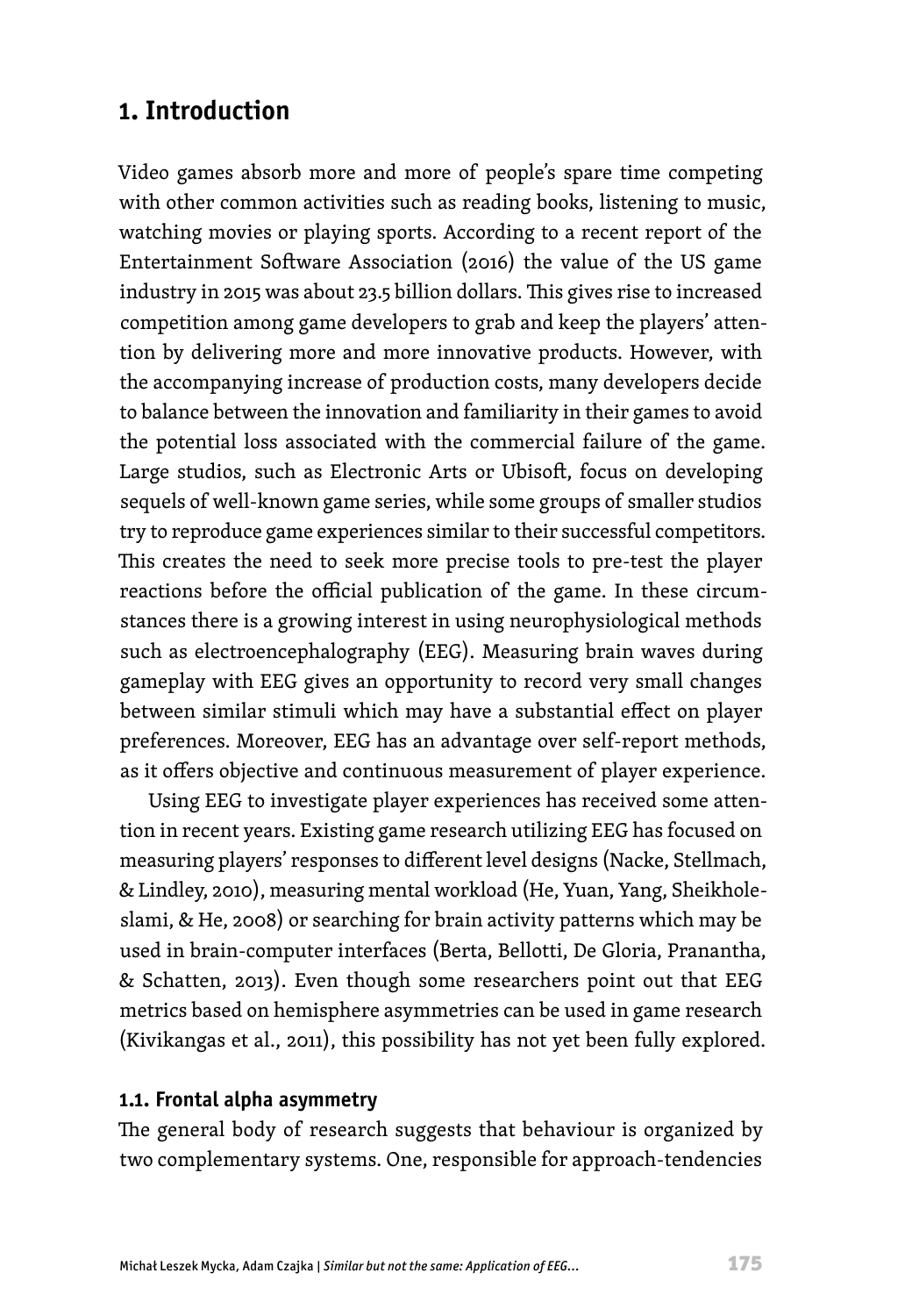## **1. Introduction**

Video games absorb more and more of people's spare time competing with other common activities such as reading books, listening to music, watching movies or playing sports. According to a recent report of the Entertainment Software Association (2016) the value of the US game industry in 2015 was about 23.5 billion dollars. This gives rise to increased competition among game developers to grab and keep the players' attention by delivering more and more innovative products. However, with the accompanying increase of production costs, many developers decide to balance between the innovation and familiarity in their games to avoid the potential loss associated with the commercial failure of the game. Large studios, such as Electronic Arts or Ubisoft, focus on developing sequels of well-known game series, while some groups of smaller studios try to reproduce game experiences similar to their successful competitors. This creates the need to seek more precise tools to pre-test the player reactions before the official publication of the game. In these circumstances there is a growing interest in using neurophysiological methods such as electroencephalography (EEG). Measuring brain waves during gameplay with EEG gives an opportunity to record very small changes between similar stimuli which may have a substantial effect on player preferences. Moreover, EEG has an advantage over self-report methods, as it offers objective and continuous measurement of player experience.

Using EEG to investigate player experiences has received some attention in recent years. Existing game research utilizing EEG has focused on measuring players' responses to different level designs (Nacke, Stellmach, & Lindley, 2010), measuring mental workload (He, Yuan, Yang, Sheikholeslami, & He, 2008) or searching for brain activity patterns which may be used in brain-computer interfaces (Berta, Bellotti, De Gloria, Pranantha, & Schatten, 2013). Even though some researchers point out that EEG metrics based on hemisphere asymmetries can be used in game research (Kivikangas et al., 2011), this possibility has not yet been fully explored.

#### **1.1. Frontal alpha asymmetry**

The general body of research suggests that behaviour is organized by two complementary systems. One, responsible for approach-tendencies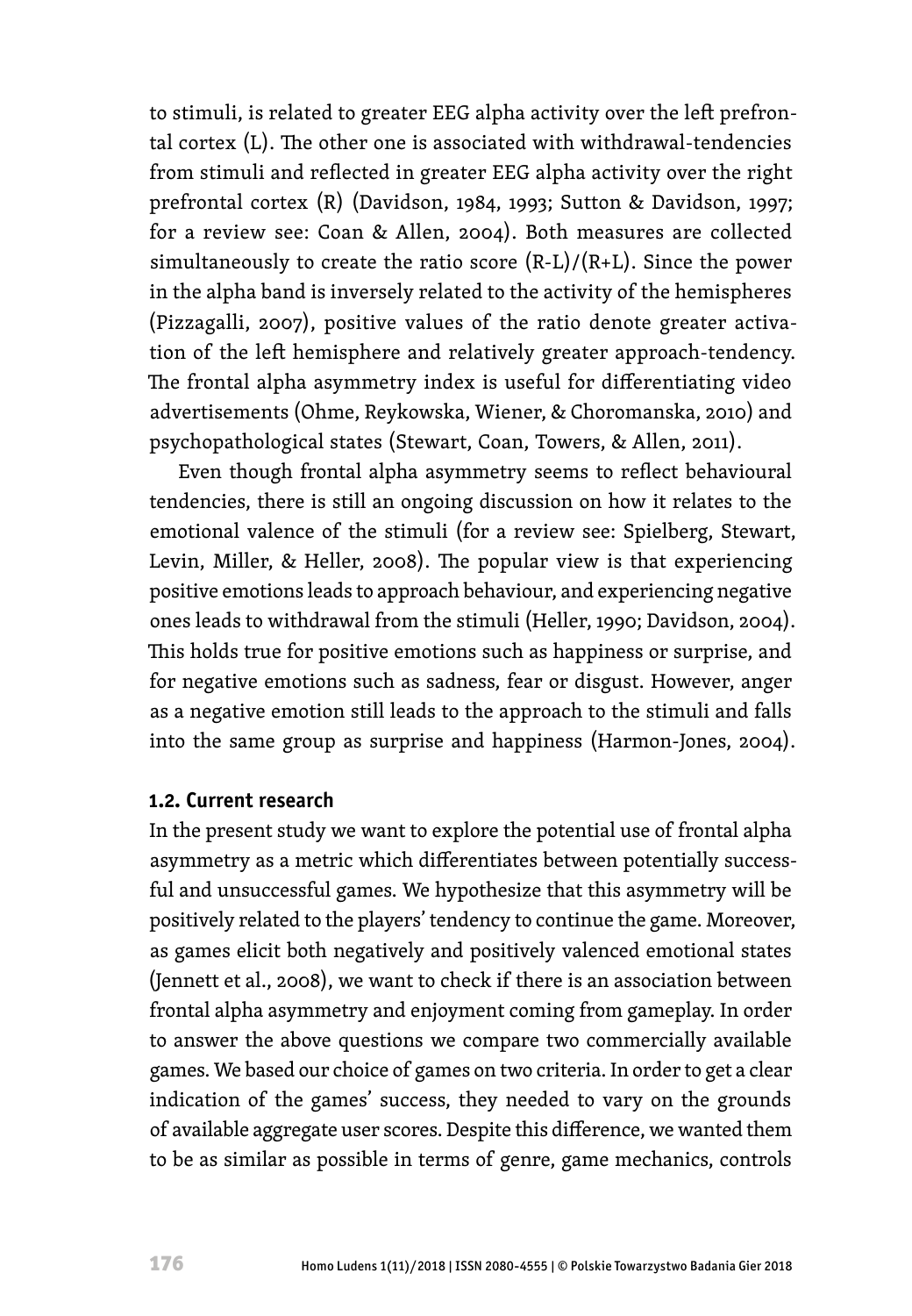to stimuli, is related to greater EEG alpha activity over the left prefrontal cortex (L). The other one is associated with withdrawal-tendencies from stimuli and reflected in greater EEG alpha activity over the right prefrontal cortex (R) (Davidson, 1984, 1993; Sutton & Davidson, 1997; for a review see: Coan & Allen, 2004). Both measures are collected simultaneously to create the ratio score  $(R-L)/(R+L)$ . Since the power in the alpha band is inversely related to the activity of the hemispheres (Pizzagalli, 2007), positive values of the ratio denote greater activation of the left hemisphere and relatively greater approach-tendency. The frontal alpha asymmetry index is useful for differentiating video advertisements (Ohme, Reykowska, Wiener, & Choromanska, 2010) and psychopathological states (Stewart, Coan, Towers, & Allen, 2011).

Even though frontal alpha asymmetry seems to reflect behavioural tendencies, there is still an ongoing discussion on how it relates to the emotional valence of the stimuli (for a review see: Spielberg, Stewart, Levin, Miller, & Heller, 2008). The popular view is that experiencing positive emotions leads to approach behaviour, and experiencing negative ones leads to withdrawal from the stimuli (Heller, 1990; Davidson, 2004). This holds true for positive emotions such as happiness or surprise, and for negative emotions such as sadness, fear or disgust. However, anger as a negative emotion still leads to the approach to the stimuli and falls into the same group as surprise and happiness (Harmon-Jones, 2004).

#### **1.2. Current research**

In the present study we want to explore the potential use of frontal alpha asymmetry as a metric which differentiates between potentially successful and unsuccessful games. We hypothesize that this asymmetry will be positively related to the players' tendency to continue the game. Moreover, as games elicit both negatively and positively valenced emotional states (Jennett et al., 2008), we want to check if there is an association between frontal alpha asymmetry and enjoyment coming from gameplay. In order to answer the above questions we compare two commercially available games. We based our choice of games on two criteria. In order to get a clear indication of the games' success, they needed to vary on the grounds of available aggregate user scores. Despite this difference, we wanted them to be as similar as possible in terms of genre, game mechanics, controls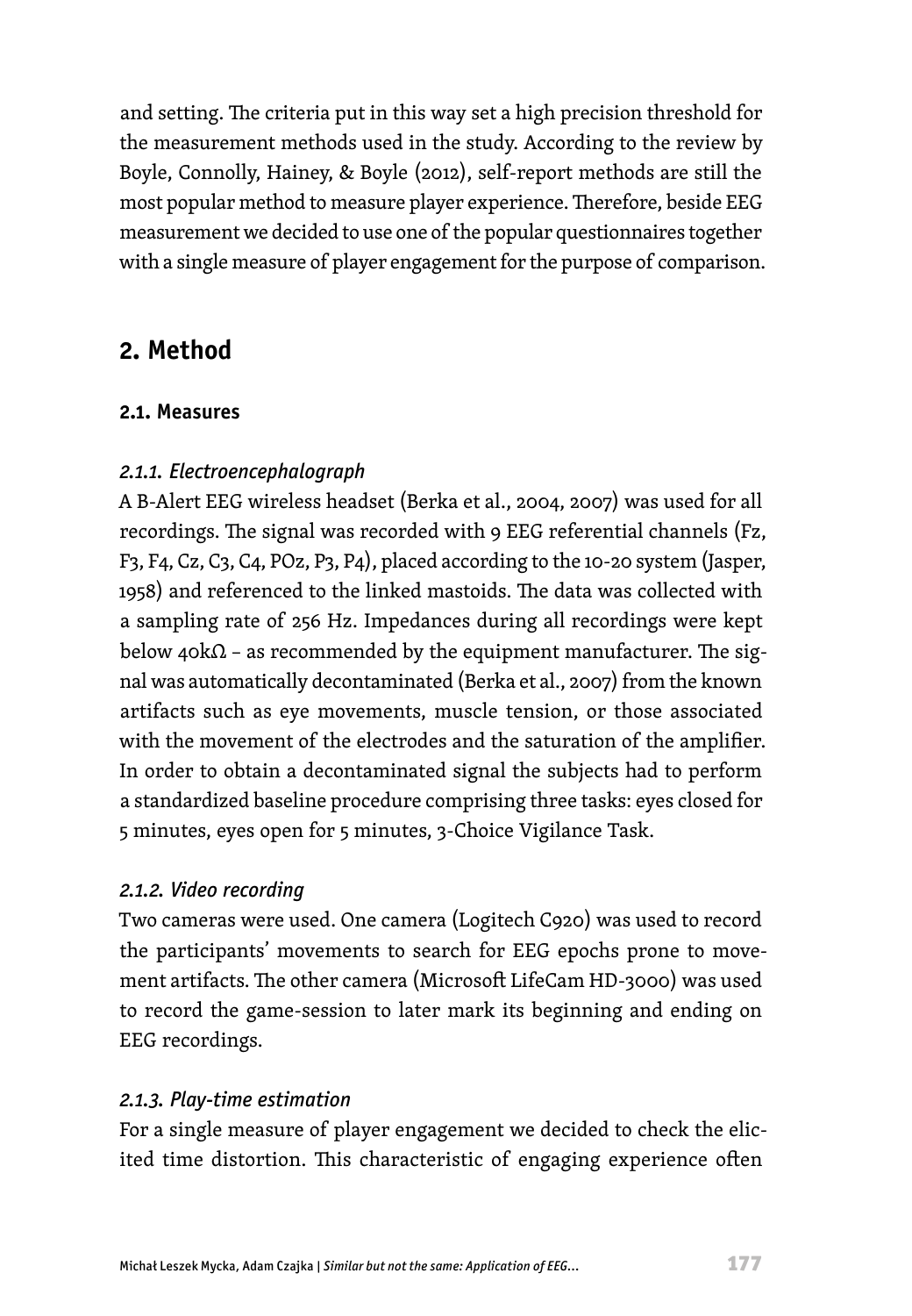and setting. The criteria put in this way set a high precision threshold for the measurement methods used in the study. According to the review by Boyle, Connolly, Hainey, & Boyle (2012), self-report methods are still the most popular method to measure player experience. Therefore, beside EEG measurement we decided to use one of the popular questionnaires together with a single measure of player engagement for the purpose of comparison.

## **2. Method**

#### **2.1. Measures**

### *2.1.1. Electroencephalograph*

A B-Alert EEG wireless headset (Berka et al., 2004, 2007) was used for all recordings. The signal was recorded with 9 EEG referential channels (Fz, F3, F4, Cz, C3, C4, POz, P3, P4), placed according to the 10-20 system (Jasper, 1958) and referenced to the linked mastoids. The data was collected with a sampling rate of 256 Hz. Impedances during all recordings were kept below 40kΩ - as recommended by the equipment manufacturer. The signal was automatically decontaminated (Berka et al., 2007) from the known artifacts such as eye movements, muscle tension, or those associated with the movement of the electrodes and the saturation of the amplifier. In order to obtain a decontaminated signal the subjects had to perform a standardized baseline procedure comprising three tasks: eyes closed for 5 minutes, eyes open for 5 minutes, 3-Choice Vigilance Task.

### *2.1.2. Video recording*

Two cameras were used. One camera (Logitech C920) was used to record the participants' movements to search for EEG epochs prone to movement artifacts. The other camera (Microsoft LifeCam HD-3000) was used to record the game-session to later mark its beginning and ending on EEG recordings.

### *2.1.3. Play-time estimation*

For a single measure of player engagement we decided to check the elicited time distortion. This characteristic of engaging experience often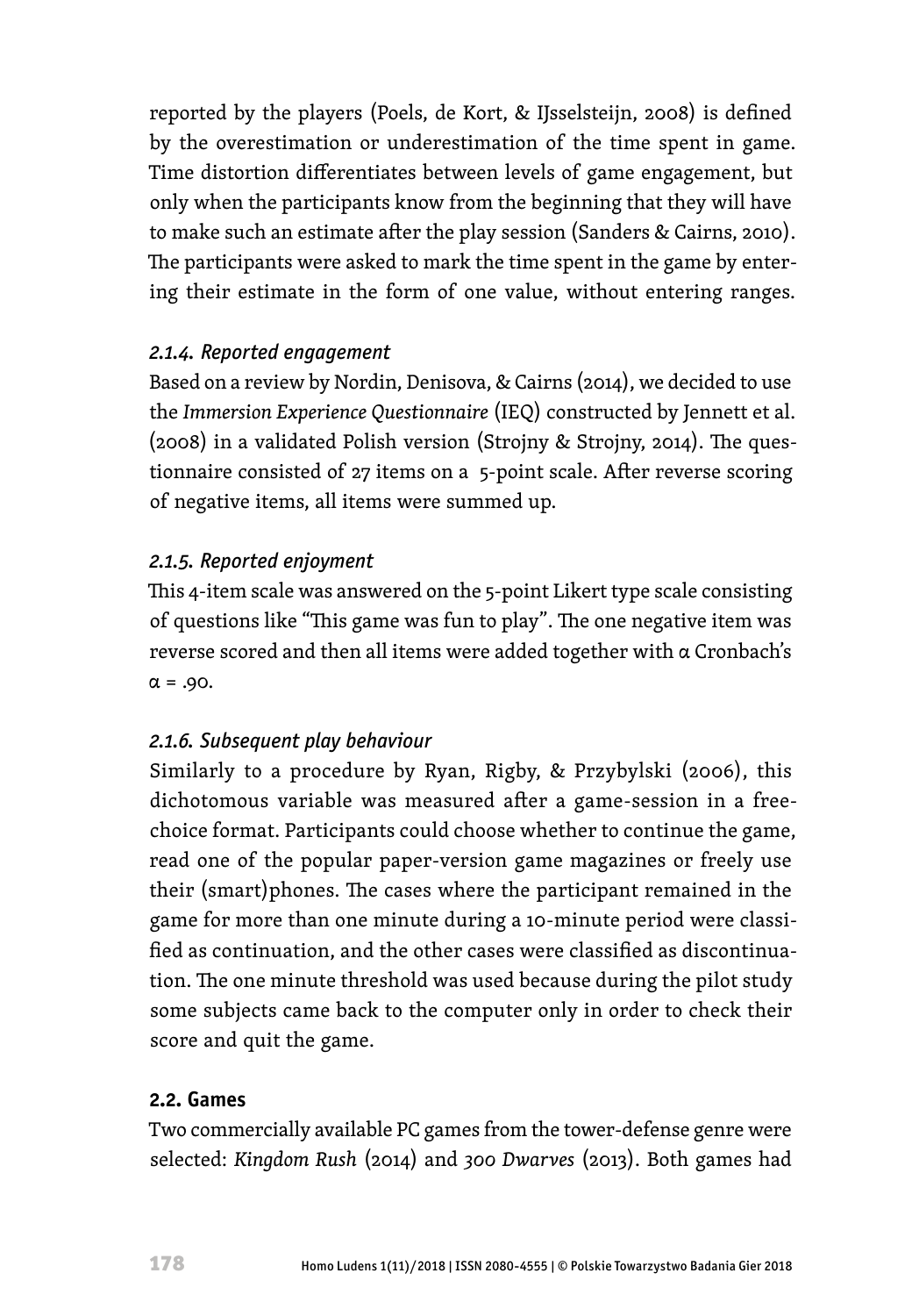reported by the players (Poels, de Kort, & IJsselsteijn, 2008) is defined by the overestimation or underestimation of the time spent in game. Time distortion differentiates between levels of game engagement, but only when the participants know from the beginning that they will have to make such an estimate after the play session (Sanders & Cairns, 2010). The participants were asked to mark the time spent in the game by entering their estimate in the form of one value, without entering ranges.

#### *2.1.4. Reported engagement*

Based on a review by Nordin, Denisova, & Cairns (2014), we decided to use the *Immersion Experience Questionnaire* (IEQ) constructed by Jennett et al. (2008) in a validated Polish version (Strojny & Strojny, 2014). The questionnaire consisted of 27 items on a 5-point scale. After reverse scoring of negative items, all items were summed up.

### *2.1.5. Reported enjoyment*

This 4-item scale was answered on the 5-point Likert type scale consisting of questions like "This game was fun to play". The one negative item was reverse scored and then all items were added together with α Cronbach's  $\alpha = .90$ .

### *2.1.6. Subsequent play behaviour*

Similarly to a procedure by Ryan, Rigby, & Przybylski (2006), this dichotomous variable was measured after a game-session in a freechoice format. Participants could choose whether to continue the game, read one of the popular paper-version game magazines or freely use their (smart)phones. The cases where the participant remained in the game for more than one minute during a 10-minute period were classified as continuation, and the other cases were classified as discontinuation. The one minute threshold was used because during the pilot study some subjects came back to the computer only in order to check their score and quit the game.

### **2.2. Games**

Two commercially available PC games from the tower-defense genre were selected: *Kingdom Rush* (2014) and *300 Dwarves* (2013). Both games had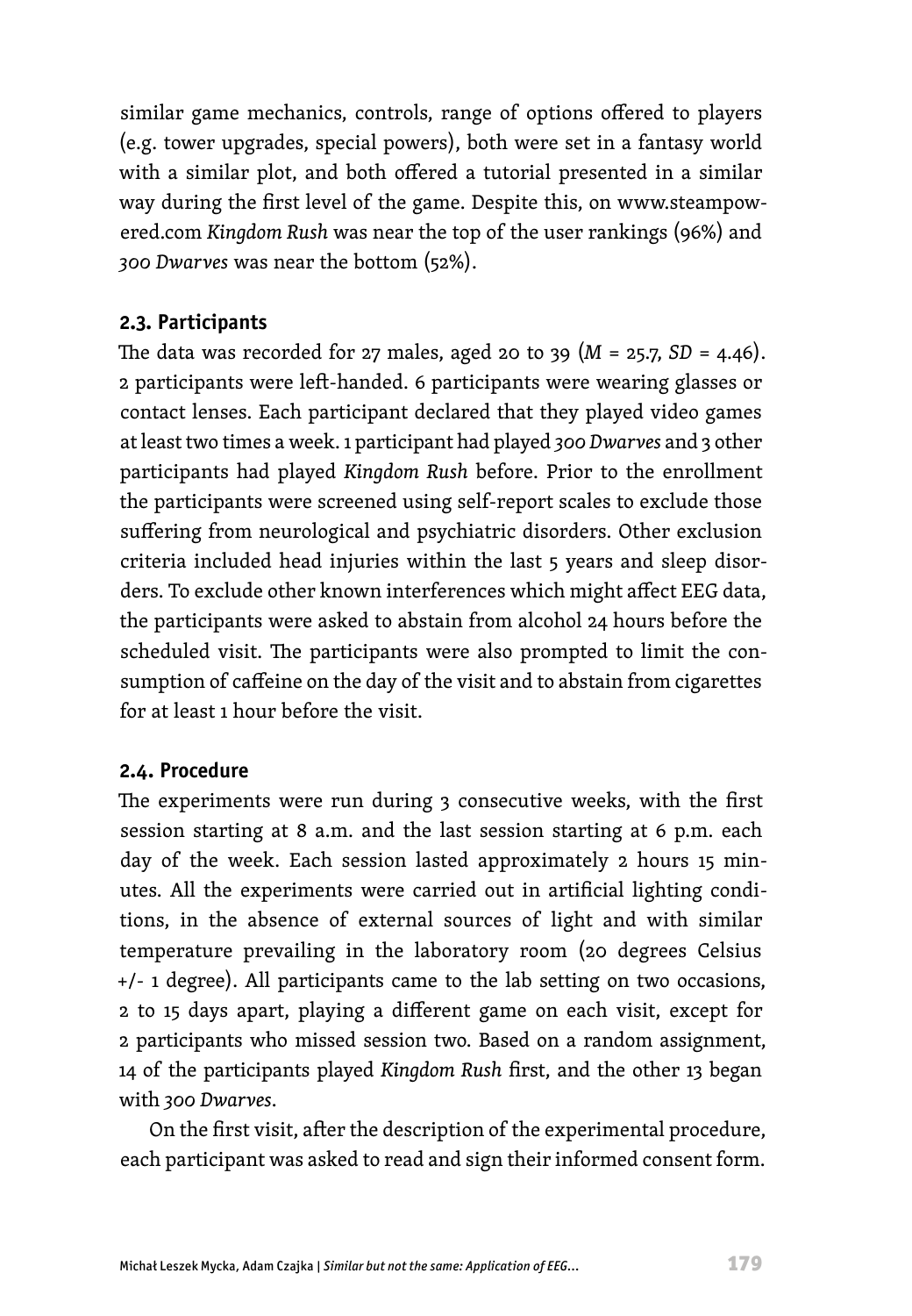similar game mechanics, controls, range of options offered to players (e.g. tower upgrades, special powers), both were set in a fantasy world with a similar plot, and both offered a tutorial presented in a similar way during the first level of the game. Despite this, on www.steampowered.com *Kingdom Rush* was near the top of the user rankings (96%) and *300 Dwarves* was near the bottom (52%).

#### **2.3. Participants**

The data was recorded for 27 males, aged 20 to 39  $(M = 25.7, SD = 4.46)$ . 2 participants were left-handed. 6 participants were wearing glasses or contact lenses. Each participant declared that they played video games at least two times a week. 1 participant had played *300 Dwarves* and 3 other participants had played *Kingdom Rush* before. Prior to the enrollment the participants were screened using self-report scales to exclude those suffering from neurological and psychiatric disorders. Other exclusion criteria included head injuries within the last 5 years and sleep disorders. To exclude other known interferences which might affect EEG data, the participants were asked to abstain from alcohol 24 hours before the scheduled visit. The participants were also prompted to limit the consumption of caffeine on the day of the visit and to abstain from cigarettes for at least 1 hour before the visit.

#### **2.4. Procedure**

The experiments were run during 3 consecutive weeks, with the first session starting at 8 a.m. and the last session starting at 6 p.m. each day of the week. Each session lasted approximately 2 hours 15 minutes. All the experiments were carried out in artificial lighting conditions, in the absence of external sources of light and with similar temperature prevailing in the laboratory room (20 degrees Celsius +/- 1 degree). All participants came to the lab setting on two occasions, 2 to 15 days apart, playing a different game on each visit, except for 2 participants who missed session two. Based on a random assignment, 14 of the participants played *Kingdom Rush* first, and the other 13 began with *300 Dwarves*.

On the first visit, after the description of the experimental procedure, each participant was asked to read and sign their informed consent form.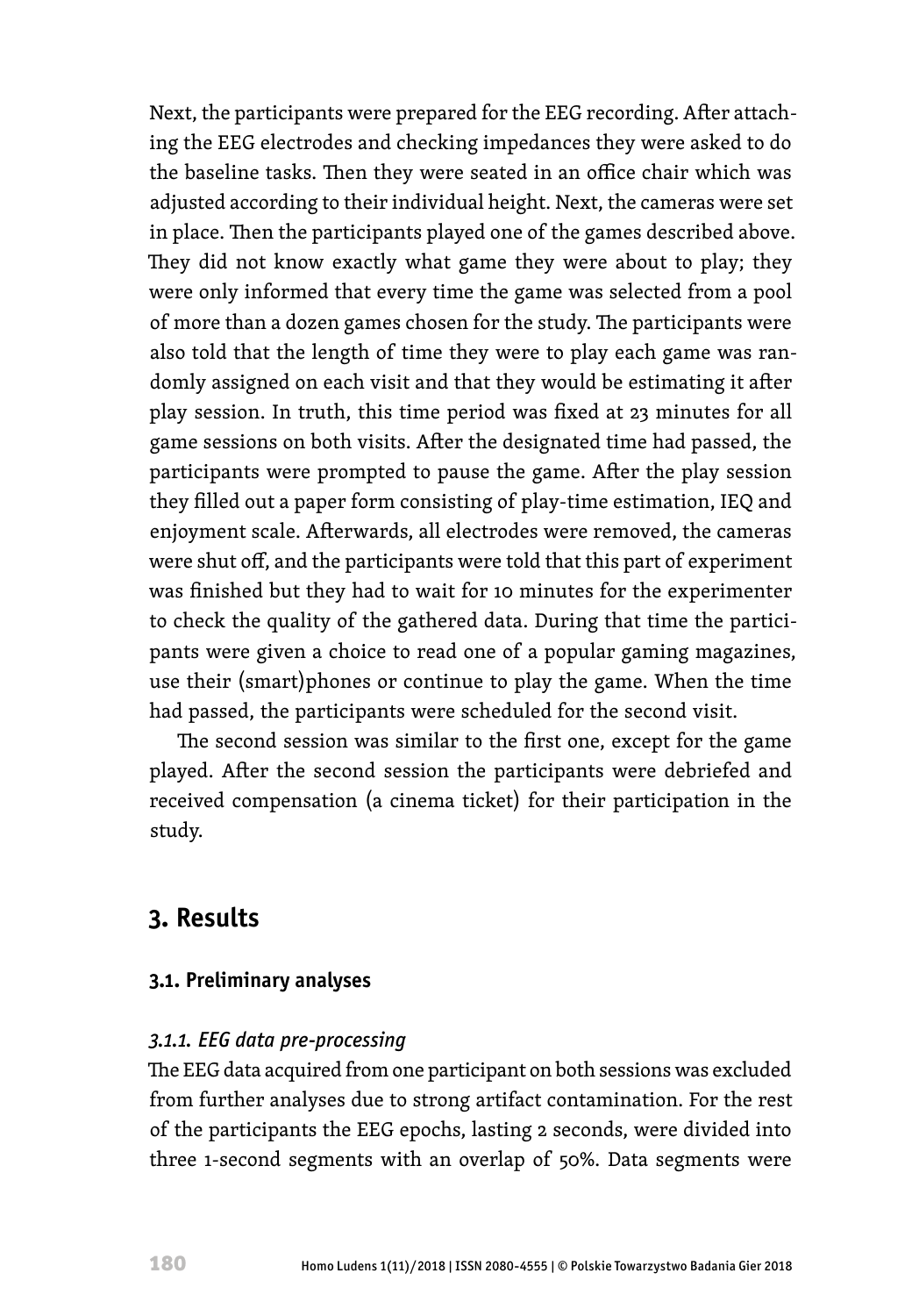Next, the participants were prepared for the EEG recording. After attaching the EEG electrodes and checking impedances they were asked to do the baseline tasks. Then they were seated in an office chair which was adjusted according to their individual height. Next, the cameras were set in place. Then the participants played one of the games described above. They did not know exactly what game they were about to play; they were only informed that every time the game was selected from a pool of more than a dozen games chosen for the study. The participants were also told that the length of time they were to play each game was randomly assigned on each visit and that they would be estimating it after play session. In truth, this time period was fixed at 23 minutes for all game sessions on both visits. After the designated time had passed, the participants were prompted to pause the game. After the play session they filled out a paper form consisting of play-time estimation, IEQ and enjoyment scale. Afterwards, all electrodes were removed, the cameras were shut off, and the participants were told that this part of experiment was finished but they had to wait for 10 minutes for the experimenter to check the quality of the gathered data. During that time the participants were given a choice to read one of a popular gaming magazines, use their (smart)phones or continue to play the game. When the time had passed, the participants were scheduled for the second visit.

The second session was similar to the first one, except for the game played. After the second session the participants were debriefed and received compensation (a cinema ticket) for their participation in the study.

### **3. Results**

### **3.1. Preliminary analyses**

#### *3.1.1. EEG data pre-processing*

The EEG data acquired from one participant on both sessions was excluded from further analyses due to strong artifact contamination. For the rest of the participants the EEG epochs, lasting 2 seconds, were divided into three 1-second segments with an overlap of 50%. Data segments were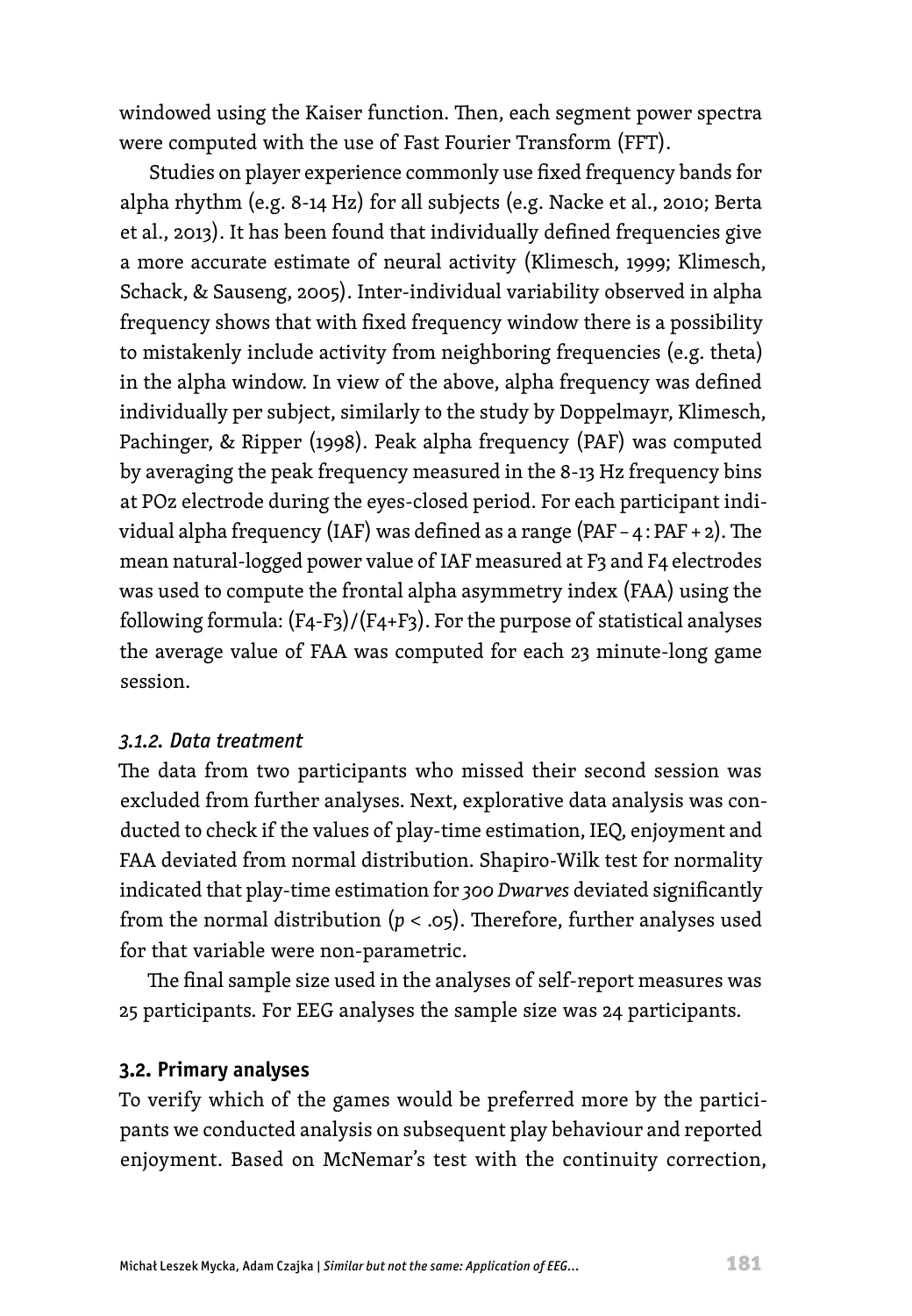windowed using the Kaiser function. Then, each segment power spectra were computed with the use of Fast Fourier Transform (FFT).

Studies on player experience commonly use fixed frequency bands for alpha rhythm (e.g. 8-14 Hz) for all subjects (e.g. Nacke et al., 2010; Berta et al., 2013). It has been found that individually defined frequencies give a more accurate estimate of neural activity (Klimesch, 1999; Klimesch, Schack, & Sauseng, 2005). Inter-individual variability observed in alpha frequency shows that with fixed frequency window there is a possibility to mistakenly include activity from neighboring frequencies (e.g. theta) in the alpha window. In view of the above, alpha frequency was defined individually per subject, similarly to the study by Doppelmayr, Klimesch, Pachinger, & Ripper (1998). Peak alpha frequency (PAF) was computed by averaging the peak frequency measured in the 8-13 Hz frequency bins at POz electrode during the eyes-closed period. For each participant individual alpha frequency (IAF) was defined as a range (PAF – 4 : PAF + 2). The mean natural-logged power value of IAF measured at F3 and F4 electrodes was used to compute the frontal alpha asymmetry index (FAA) using the following formula:  $(F_4-F_3)/(F_4+F_3)$ . For the purpose of statistical analyses the average value of FAA was computed for each 23 minute-long game session.

#### *3.1.2. Data treatment*

The data from two participants who missed their second session was excluded from further analyses. Next, explorative data analysis was conducted to check if the values of play-time estimation, IEQ, enjoyment and FAA deviated from normal distribution. Shapiro-Wilk test for normality indicated that play-time estimation for *300 Dwarves* deviated significantly from the normal distribution  $(p < .05)$ . Therefore, further analyses used for that variable were non-parametric.

The final sample size used in the analyses of self-report measures was 25 participants. For EEG analyses the sample size was 24 participants.

#### **3.2. Primary analyses**

To verify which of the games would be preferred more by the participants we conducted analysis on subsequent play behaviour and reported enjoyment. Based on McNemar's test with the continuity correction,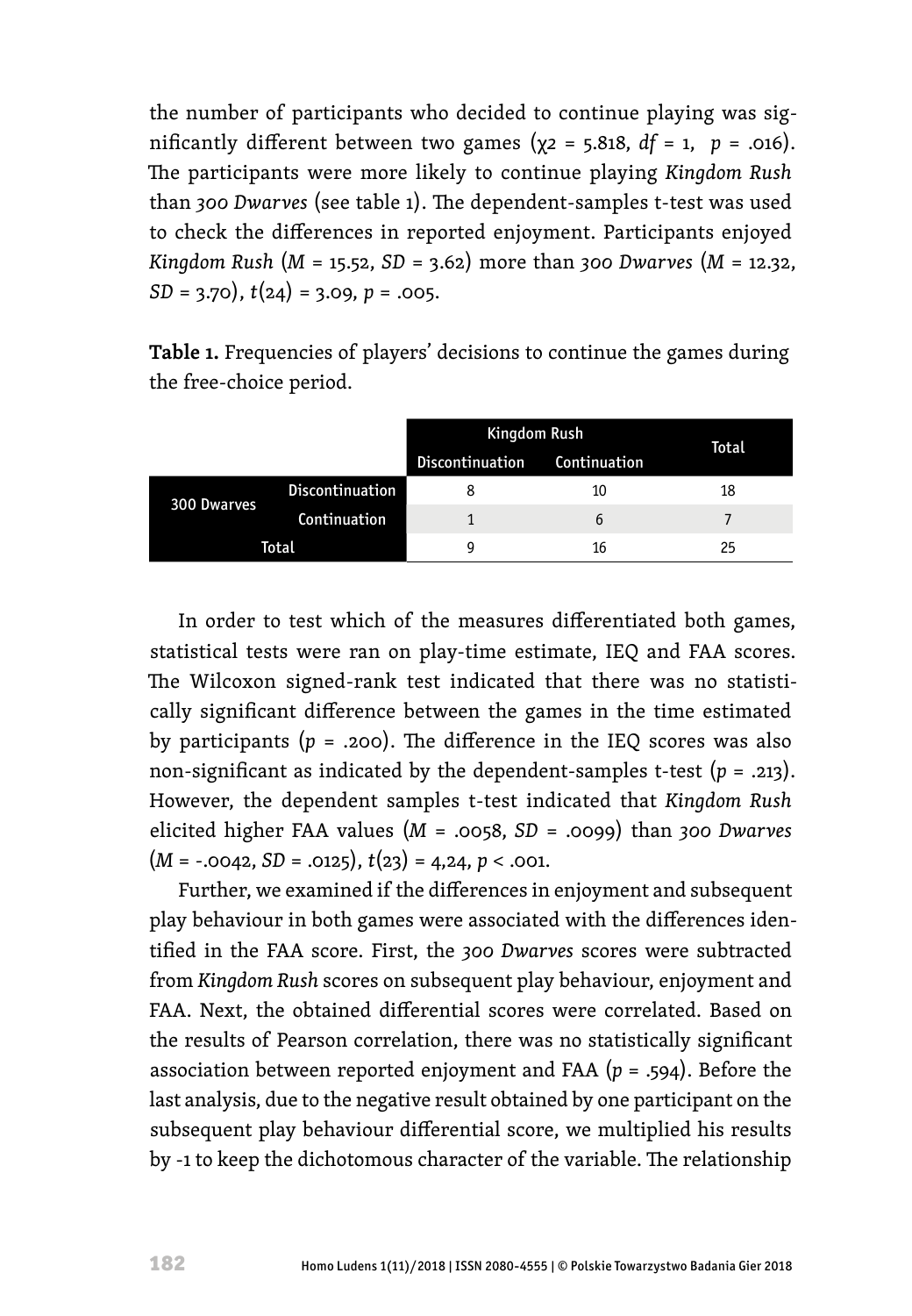the number of participants who decided to continue playing was significantly different between two games ( $χ$ 2 = 5.818, *df* = 1, *p* = .016). The participants were more likely to continue playing *Kingdom Rush* than *300 Dwarves* (see table 1). The dependent-samples t-test was used to check the differences in reported enjoyment. Participants enjoyed *Kingdom Rush* (*M* = 15.52, *SD* = 3.62) more than *300 Dwarves* (*M* = 12.32, *SD* = 3.70), *t*(24) = 3.09, *p* = .005.

**Table 1.** Frequencies of players' decisions to continue the games during the free-choice period.

|             |                 | Kingdom Rush    |              | Total |  |
|-------------|-----------------|-----------------|--------------|-------|--|
|             |                 | Discontinuation | Continuation |       |  |
| 300 Dwarves | Discontinuation |                 | 10           | 18    |  |
|             | Continuation    |                 | b            |       |  |
| Total       |                 | Ω               | 16           | 25    |  |

In order to test which of the measures differentiated both games, statistical tests were ran on play-time estimate, IEQ and FAA scores. The Wilcoxon signed-rank test indicated that there was no statistically significant difference between the games in the time estimated by participants  $(p = .200)$ . The difference in the IEQ scores was also non-significant as indicated by the dependent-samples t-test (*p* = .213). However, the dependent samples t-test indicated that *Kingdom Rush* elicited higher FAA values (*M* = .0058, *SD* = .0099) than *300 Dwarves*  $(M = -.0042, SD = .0125), t(23) = 4,24, p < .001.$ 

Further, we examined if the differences in enjoyment and subsequent play behaviour in both games were associated with the differences identified in the FAA score. First, the *300 Dwarves* scores were subtracted from *Kingdom Rush* scores on subsequent play behaviour, enjoyment and FAA. Next, the obtained differential scores were correlated. Based on the results of Pearson correlation, there was no statistically significant association between reported enjoyment and FAA (*p* = .594). Before the last analysis, due to the negative result obtained by one participant on the subsequent play behaviour differential score, we multiplied his results by -1 to keep the dichotomous character of the variable. The relationship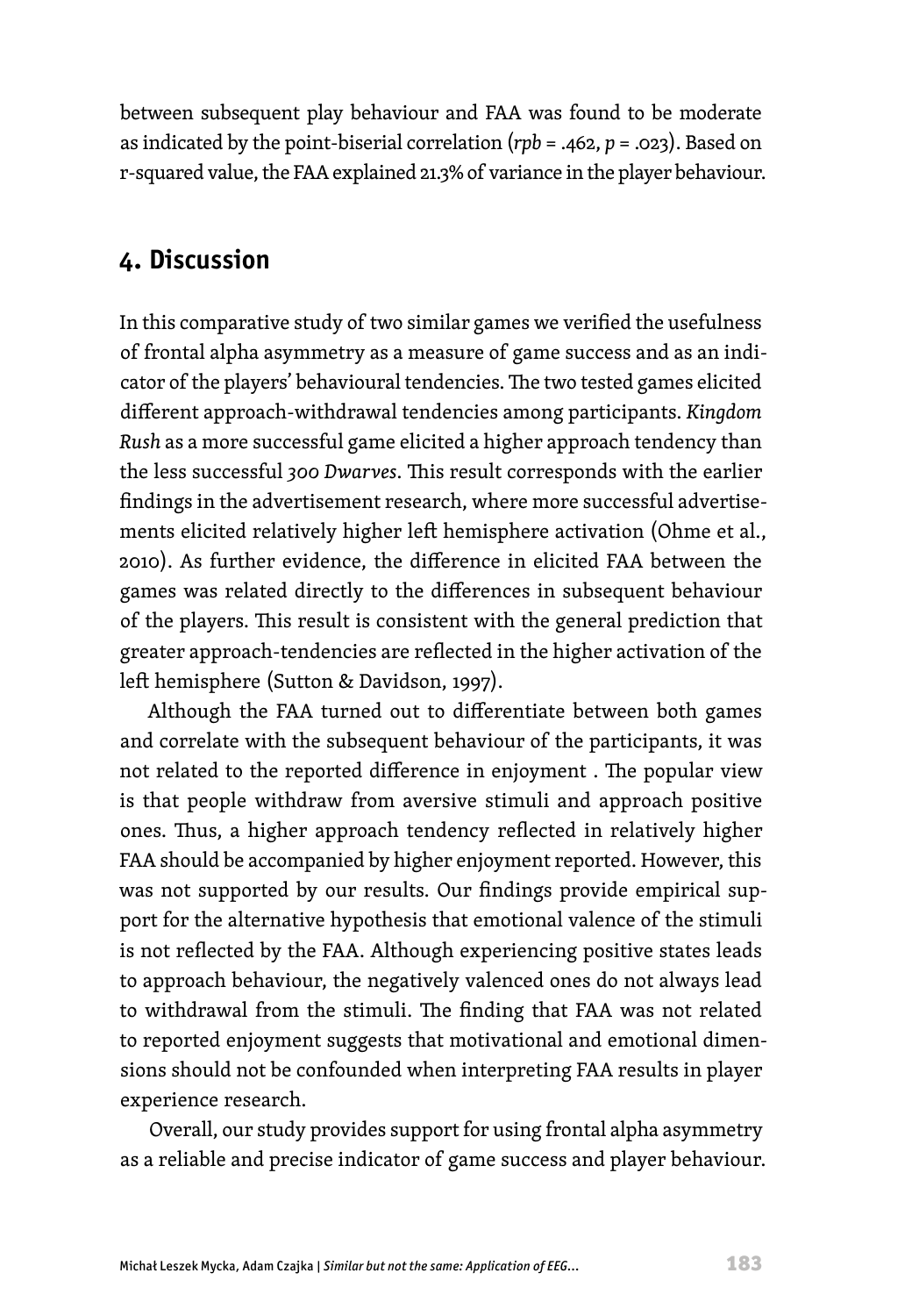between subsequent play behaviour and FAA was found to be moderate as indicated by the point-biserial correlation (*rpb* = .462, *p* = .023). Based on r-squared value, the FAA explained 21.3% of variance in the player behaviour.

## **4. Discussion**

In this comparative study of two similar games we verified the usefulness of frontal alpha asymmetry as a measure of game success and as an indicator of the players' behavioural tendencies. The two tested games elicited different approach-withdrawal tendencies among participants. *Kingdom Rush* as a more successful game elicited a higher approach tendency than the less successful *300 Dwarves*. This result corresponds with the earlier findings in the advertisement research, where more successful advertisements elicited relatively higher left hemisphere activation (Ohme et al., 2010). As further evidence, the difference in elicited FAA between the games was related directly to the differences in subsequent behaviour of the players. This result is consistent with the general prediction that greater approach-tendencies are reflected in the higher activation of the left hemisphere (Sutton & Davidson, 1997).

Although the FAA turned out to differentiate between both games and correlate with the subsequent behaviour of the participants, it was not related to the reported difference in enjoyment . The popular view is that people withdraw from aversive stimuli and approach positive ones. Thus, a higher approach tendency reflected in relatively higher FAA should be accompanied by higher enjoyment reported. However, this was not supported by our results. Our findings provide empirical support for the alternative hypothesis that emotional valence of the stimuli is not reflected by the FAA. Although experiencing positive states leads to approach behaviour, the negatively valenced ones do not always lead to withdrawal from the stimuli. The finding that FAA was not related to reported enjoyment suggests that motivational and emotional dimensions should not be confounded when interpreting FAA results in player experience research.

Overall, our study provides support for using frontal alpha asymmetry as a reliable and precise indicator of game success and player behaviour.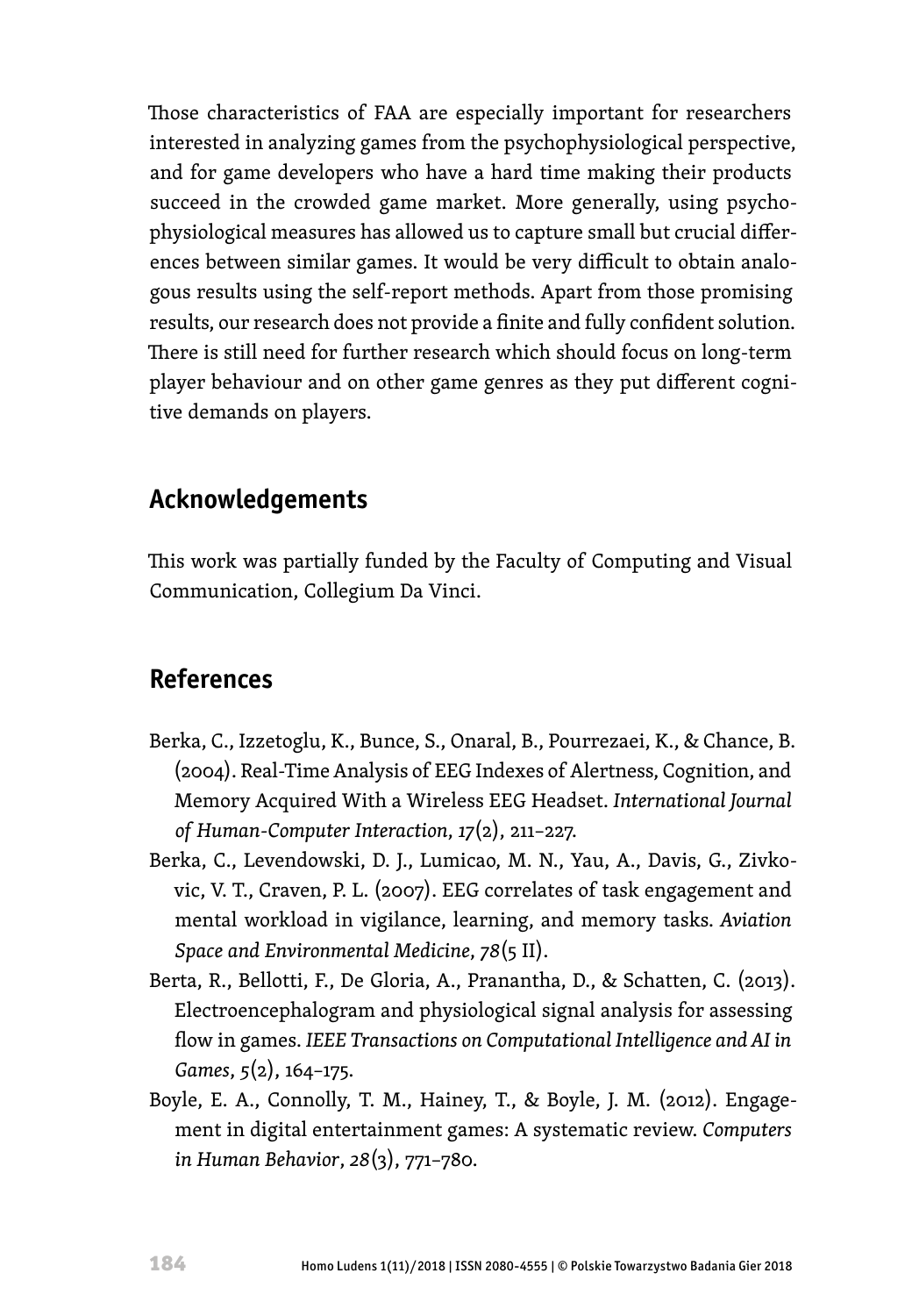Those characteristics of FAA are especially important for researchers interested in analyzing games from the psychophysiological perspective, and for game developers who have a hard time making their products succeed in the crowded game market. More generally, using psychophysiological measures has allowed us to capture small but crucial differences between similar games. It would be very difficult to obtain analogous results using the self-report methods. Apart from those promising results, our research does not provide a finite and fully confident solution. There is still need for further research which should focus on long-term player behaviour and on other game genres as they put different cognitive demands on players.

### **Acknowledgements**

This work was partially funded by the Faculty of Computing and Visual Communication, Collegium Da Vinci.

## **References**

- Berka, C., Izzetoglu, K., Bunce, S., Onaral, B., Pourrezaei, K., & Chance, B. (2004). Real-Time Analysis of EEG Indexes of Alertness, Cognition, and Memory Acquired With a Wireless EEG Headset. *International Journal of Human-Computer Interaction*, *17*(2), 211–227.
- Berka, C., Levendowski, D. J., Lumicao, M. N., Yau, A., Davis, G., Zivkovic, V. T., Craven, P. L. (2007). EEG correlates of task engagement and mental workload in vigilance, learning, and memory tasks. *Aviation Space and Environmental Medicine*, *78*(5 II).
- Berta, R., Bellotti, F., De Gloria, A., Pranantha, D., & Schatten, C. (2013). Electroencephalogram and physiological signal analysis for assessing flow in games. *IEEE Transactions on Computational Intelligence and AI in Games*, *5*(2), 164–175.
- Boyle, E. A., Connolly, T. M., Hainey, T., & Boyle, J. M. (2012). Engagement in digital entertainment games: A systematic review. *Computers in Human Behavior*, *28*(3), 771–780.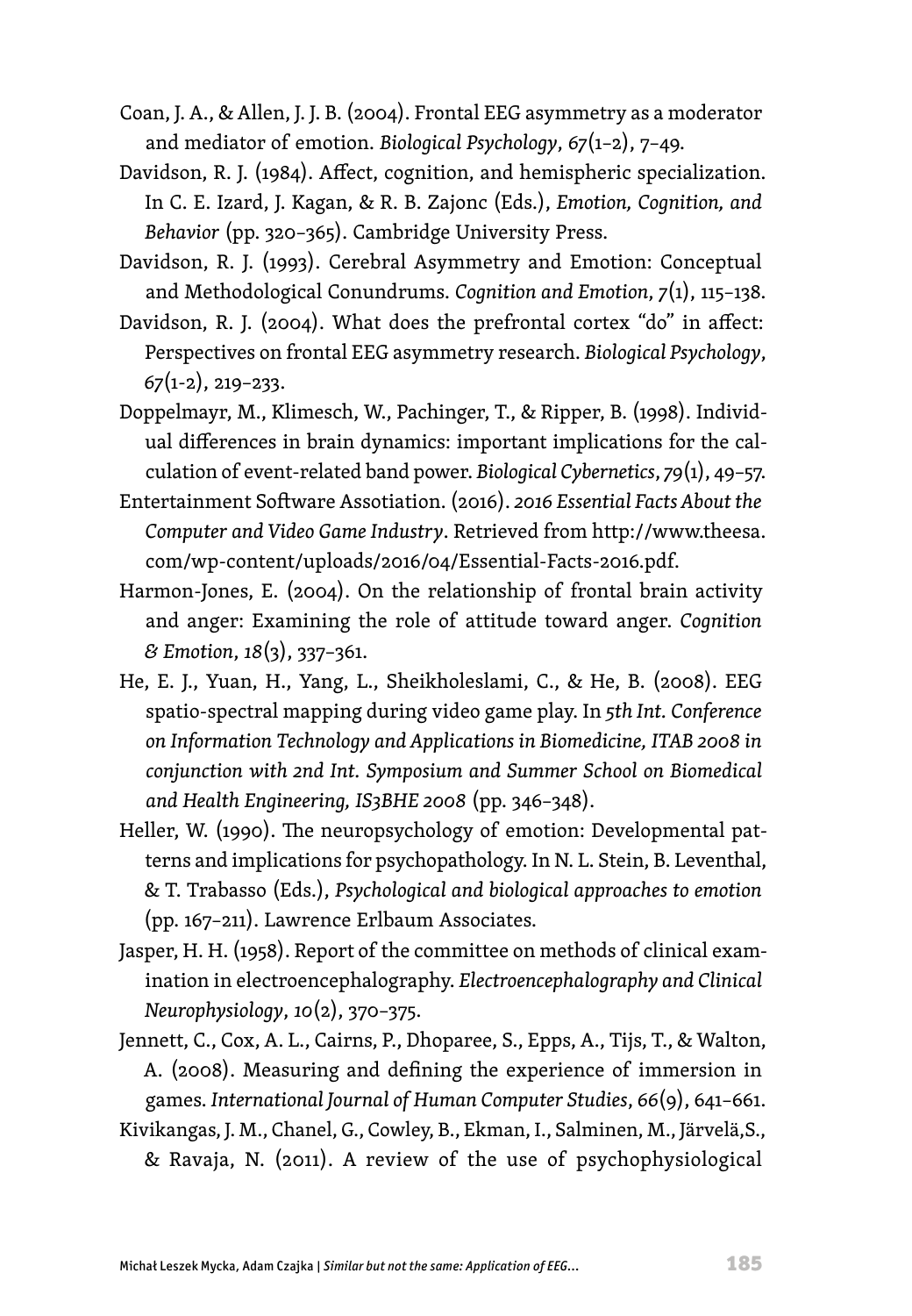- Coan, J. A., & Allen, J. J. B. (2004). Frontal EEG asymmetry as a moderator and mediator of emotion. *Biological Psychology*, *67*(1–2), 7–49.
- Davidson, R. J. (1984). Affect, cognition, and hemispheric specialization. In C. E. Izard, J. Kagan, & R. B. Zajonc (Eds.), *Emotion, Cognition, and Behavior* (pp. 320–365). Cambridge University Press.
- Davidson, R. J. (1993). Cerebral Asymmetry and Emotion: Conceptual and Methodological Conundrums. *Cognition and Emotion*, *7*(1), 115–138.
- Davidson, R. J. (2004). What does the prefrontal cortex "do" in affect: Perspectives on frontal EEG asymmetry research. *Biological Psychology*, *67*(1-2), 219–233.
- Doppelmayr, M., Klimesch, W., Pachinger, T., & Ripper, B. (1998). Individual differences in brain dynamics: important implications for the calculation of event-related band power. *Biological Cybernetics*, *79*(1), 49–57.
- Entertainment Software Assotiation. (2016). *2016 Essential Facts About the Computer and Video Game Industry*. Retrieved from http://www.theesa. com/wp-content/uploads/2016/04/Essential-Facts-2016.pdf.
- Harmon-Jones, E. (2004). On the relationship of frontal brain activity and anger: Examining the role of attitude toward anger. *Cognition & Emotion*, *18*(3), 337–361.
- He, E. J., Yuan, H., Yang, L., Sheikholeslami, C., & He, B. (2008). EEG spatio-spectral mapping during video game play. In *5th Int. Conference on Information Technology and Applications in Biomedicine, ITAB 2008 in conjunction with 2nd Int. Symposium and Summer School on Biomedical and Health Engineering, IS3BHE 2008* (pp. 346–348).
- Heller, W. (1990). The neuropsychology of emotion: Developmental patterns and implications for psychopathology. In N. L. Stein, B. Leventhal, & T. Trabasso (Eds.), *Psychological and biological approaches to emotion* (pp. 167–211). Lawrence Erlbaum Associates.
- Jasper, H. H. (1958). Report of the committee on methods of clinical examination in electroencephalography. *Electroencephalography and Clinical Neurophysiology*, *10*(2), 370–375.

Jennett, C., Cox, A. L., Cairns, P., Dhoparee, S., Epps, A., Tijs, T., & Walton, A. (2008). Measuring and defining the experience of immersion in games. *International Journal of Human Computer Studies*, *66*(9), 641–661.

Kivikangas, J. M., Chanel, G., Cowley, B., Ekman, I., Salminen, M., Järvelä,S., & Ravaja, N. (2011). A review of the use of psychophysiological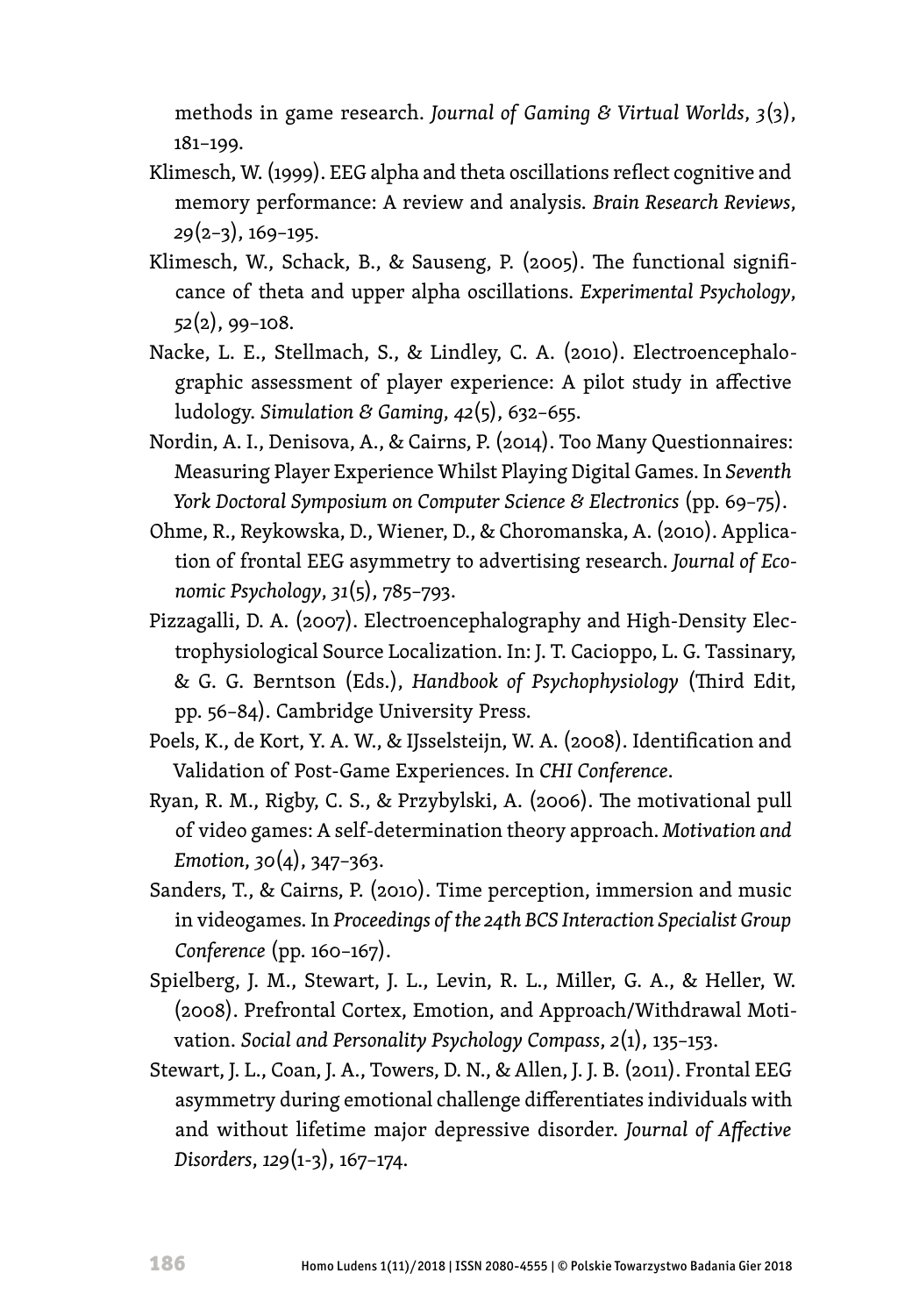methods in game research. *Journal of Gaming & Virtual Worlds*, *3*(3), 181–199.

- Klimesch, W. (1999). EEG alpha and theta oscillations reflect cognitive and memory performance: A review and analysis. *Brain Research Reviews*, *29*(2–3), 169–195.
- Klimesch, W., Schack, B., & Sauseng, P. (2005). The functional significance of theta and upper alpha oscillations. *Experimental Psychology*, *52*(2), 99–108.
- Nacke, L. E., Stellmach, S., & Lindley, C. A. (2010). Electroencephalographic assessment of player experience: A pilot study in affective ludology. *Simulation & Gaming*, *42*(5), 632–655.
- Nordin, A. I., Denisova, A., & Cairns, P. (2014). Too Many Questionnaires: Measuring Player Experience Whilst Playing Digital Games. In *Seventh York Doctoral Symposium on Computer Science & Electronics* (pp. 69–75).
- Ohme, R., Reykowska, D., Wiener, D., & Choromanska, A. (2010). Application of frontal EEG asymmetry to advertising research. *Journal of Economic Psychology*, *31*(5), 785–793.
- Pizzagalli, D. A. (2007). Electroencephalography and High-Density Electrophysiological Source Localization. In: J. T. Cacioppo, L. G. Tassinary, & G. G. Berntson (Eds.), *Handbook of Psychophysiology* (Third Edit, pp. 56–84). Cambridge University Press.
- Poels, K., de Kort, Y. A. W., & IJsselsteijn, W. A. (2008). Identification and Validation of Post-Game Experiences. In *CHI Conference*.
- Ryan, R. M., Rigby, C. S., & Przybylski, A. (2006). The motivational pull of video games: A self-determination theory approach. *Motivation and Emotion*, *30*(4), 347–363.
- Sanders, T., & Cairns, P. (2010). Time perception, immersion and music in videogames. In *Proceedings of the 24th BCS Interaction Specialist Group Conference* (pp. 160–167).
- Spielberg, J. M., Stewart, J. L., Levin, R. L., Miller, G. A., & Heller, W. (2008). Prefrontal Cortex, Emotion, and Approach/Withdrawal Motivation. *Social and Personality Psychology Compass*, *2*(1), 135–153.
- Stewart, J. L., Coan, J. A., Towers, D. N., & Allen, J. J. B. (2011). Frontal EEG asymmetry during emotional challenge differentiates individuals with and without lifetime major depressive disorder. *Journal of Affective Disorders*, *129*(1-3), 167–174.